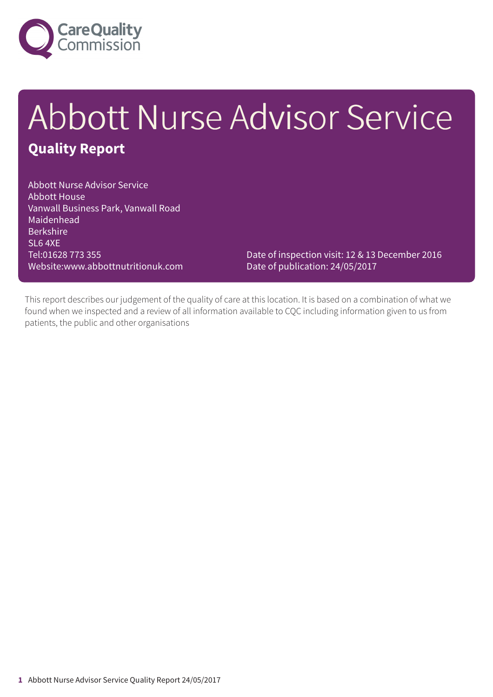

## Abbott Nurse Advisor Service **Quality Report**

Abbott Nurse Advisor Service Abbott House Vanwall Business Park, Vanwall Road Maidenhead **Berkshire** SL6 4XE Tel:01628 773 355 Website:www.abbottnutritionuk.com

Date of inspection visit: 12 & 13 December 2016 Date of publication: 24/05/2017

This report describes our judgement of the quality of care at this location. It is based on a combination of what we found when we inspected and a review of all information available to CQC including information given to us from patients, the public and other organisations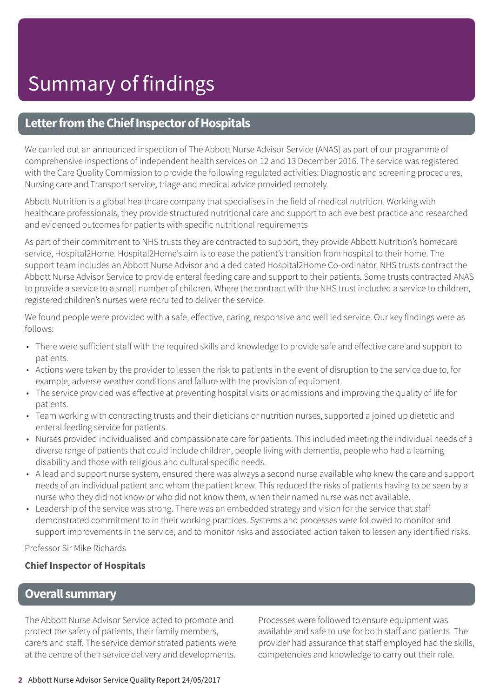### **Letter from the Chief Inspector of Hospitals**

We carried out an announced inspection of The Abbott Nurse Advisor Service (ANAS) as part of our programme of comprehensive inspections of independent health services on 12 and 13 December 2016. The service was registered with the Care Quality Commission to provide the following regulated activities: Diagnostic and screening procedures, Nursing care and Transport service, triage and medical advice provided remotely.

Abbott Nutrition is a global healthcare company that specialises in the field of medical nutrition. Working with healthcare professionals, they provide structured nutritional care and support to achieve best practice and researched and evidenced outcomes for patients with specific nutritional requirements

As part of their commitment to NHS trusts they are contracted to support, they provide Abbott Nutrition's homecare service, Hospital2Home. Hospital2Home's aim is to ease the patient's transition from hospital to their home. The support team includes an Abbott Nurse Advisor and a dedicated Hospital2Home Co-ordinator. NHS trusts contract the Abbott Nurse Advisor Service to provide enteral feeding care and support to their patients. Some trusts contracted ANAS to provide a service to a small number of children. Where the contract with the NHS trust included a service to children, registered children's nurses were recruited to deliver the service.

We found people were provided with a safe, effective, caring, responsive and well led service. Our key findings were as follows:

- There were sufficient staff with the required skills and knowledge to provide safe and effective care and support to patients.
- Actions were taken by the provider to lessen the risk to patients in the event of disruption to the service due to, for example, adverse weather conditions and failure with the provision of equipment.
- The service provided was effective at preventing hospital visits or admissions and improving the quality of life for patients.
- Team working with contracting trusts and their dieticians or nutrition nurses, supported a joined up dietetic and enteral feeding service for patients.
- Nurses provided individualised and compassionate care for patients. This included meeting the individual needs of a diverse range of patients that could include children, people living with dementia, people who had a learning disability and those with religious and cultural specific needs.
- A lead and support nurse system, ensured there was always a second nurse available who knew the care and support needs of an individual patient and whom the patient knew. This reduced the risks of patients having to be seen by a nurse who they did not know or who did not know them, when their named nurse was not available.
- Leadership of the service was strong. There was an embedded strategy and vision for the service that staff demonstrated commitment to in their working practices. Systems and processes were followed to monitor and support improvements in the service, and to monitor risks and associated action taken to lessen any identified risks.

Professor Sir Mike Richards

### **Chief Inspector of Hospitals**

### **Overall summary**

The Abbott Nurse Advisor Service acted to promote and protect the safety of patients, their family members, carers and staff. The service demonstrated patients were at the centre of their service delivery and developments.

Processes were followed to ensure equipment was available and safe to use for both staff and patients. The provider had assurance that staff employed had the skills, competencies and knowledge to carry out their role.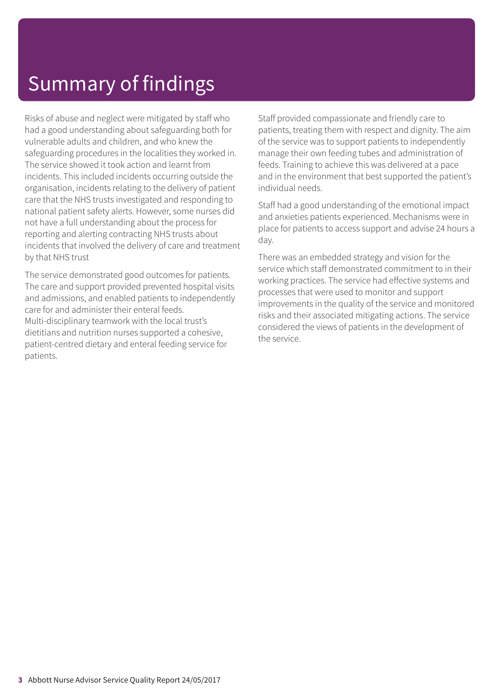### Summary of findings

Risks of abuse and neglect were mitigated by staff who had a good understanding about safeguarding both for vulnerable adults and children, and who knew the safeguarding procedures in the localities they worked in. The service showed it took action and learnt from incidents. This included incidents occurring outside the organisation, incidents relating to the delivery of patient care that the NHS trusts investigated and responding to national patient safety alerts. However, some nurses did not have a full understanding about the process for reporting and alerting contracting NHS trusts about incidents that involved the delivery of care and treatment by that NHS trust

The service demonstrated good outcomes for patients. The care and support provided prevented hospital visits and admissions, and enabled patients to independently care for and administer their enteral feeds. Multi-disciplinary teamwork with the local trust's dietitians and nutrition nurses supported a cohesive, patient-centred dietary and enteral feeding service for patients.

Staff provided compassionate and friendly care to patients, treating them with respect and dignity. The aim of the service was to support patients to independently manage their own feeding tubes and administration of feeds. Training to achieve this was delivered at a pace and in the environment that best supported the patient's individual needs.

Staff had a good understanding of the emotional impact and anxieties patients experienced. Mechanisms were in place for patients to access support and advise 24 hours a day.

There was an embedded strategy and vision for the service which staff demonstrated commitment to in their working practices. The service had effective systems and processes that were used to monitor and support improvements in the quality of the service and monitored risks and their associated mitigating actions. The service considered the views of patients in the development of the service.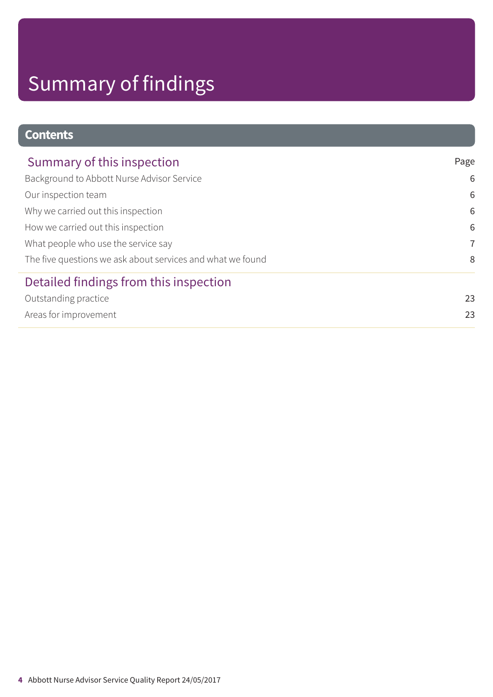# Summary of findings

### **Contents**

| Summary of this inspection                                 | Page           |
|------------------------------------------------------------|----------------|
| Background to Abbott Nurse Advisor Service                 | 6              |
| Our inspection team                                        | 6              |
| Why we carried out this inspection                         | 6              |
| How we carried out this inspection                         | 6              |
| What people who use the service say                        | $\overline{7}$ |
| The five questions we ask about services and what we found | 8              |
| Detailed findings from this inspection                     |                |
| Outstanding practice                                       | 23             |
| Areas for improvement                                      | 23             |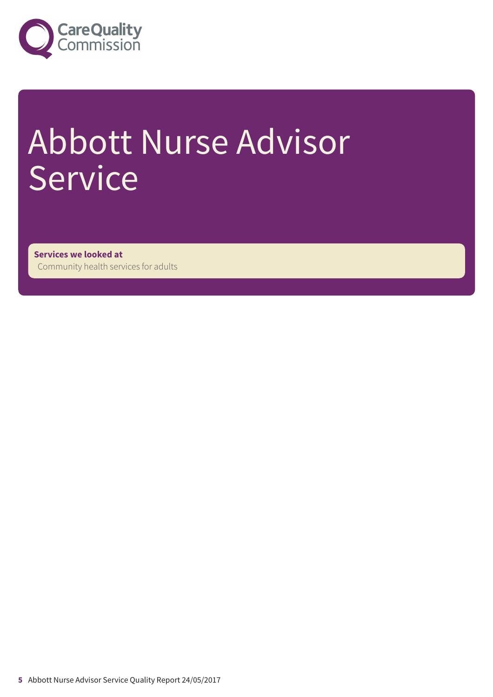

# Abbott Nurse Advisor Service

**Services we looked at** Community health services for adults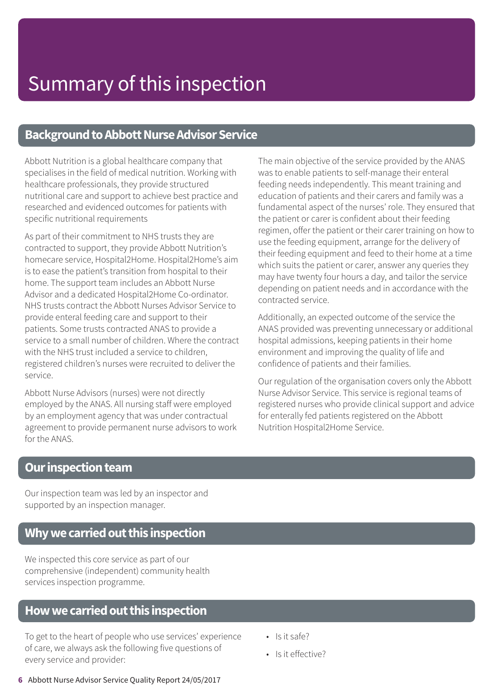### **Background to Abbott Nurse Advisor Service**

Abbott Nutrition is a global healthcare company that specialises in the field of medical nutrition. Working with healthcare professionals, they provide structured nutritional care and support to achieve best practice and researched and evidenced outcomes for patients with specific nutritional requirements

As part of their commitment to NHS trusts they are contracted to support, they provide Abbott Nutrition's homecare service, Hospital2Home. Hospital2Home's aim is to ease the patient's transition from hospital to their home. The support team includes an Abbott Nurse Advisor and a dedicated Hospital2Home Co-ordinator. NHS trusts contract the Abbott Nurses Advisor Service to provide enteral feeding care and support to their patients. Some trusts contracted ANAS to provide a service to a small number of children. Where the contract with the NHS trust included a service to children, registered children's nurses were recruited to deliver the service.

Abbott Nurse Advisors (nurses) were not directly employed by the ANAS. All nursing staff were employed by an employment agency that was under contractual agreement to provide permanent nurse advisors to work for the ANAS.

The main objective of the service provided by the ANAS was to enable patients to self-manage their enteral feeding needs independently. This meant training and education of patients and their carers and family was a fundamental aspect of the nurses' role. They ensured that the patient or carer is confident about their feeding regimen, offer the patient or their carer training on how to use the feeding equipment, arrange for the delivery of their feeding equipment and feed to their home at a time which suits the patient or carer, answer any queries they may have twenty four hours a day, and tailor the service depending on patient needs and in accordance with the contracted service.

Additionally, an expected outcome of the service the ANAS provided was preventing unnecessary or additional hospital admissions, keeping patients in their home environment and improving the quality of life and confidence of patients and their families.

Our regulation of the organisation covers only the Abbott Nurse Advisor Service. This service is regional teams of registered nurses who provide clinical support and advice for enterally fed patients registered on the Abbott Nutrition Hospital2Home Service.

### **Our inspection team**

Our inspection team was led by an inspector and supported by an inspection manager.

### **Whywecarriedoutthis inspection**

We inspected this core service as part of our comprehensive (independent) community health services inspection programme.

### **Howwecarriedoutthis inspection**

To get to the heart of people who use services' experience of care, we always ask the following five questions of every service and provider:

- Is it safe?
- Is it effective?
- **6** Abbott Nurse Advisor Service Quality Report 24/05/2017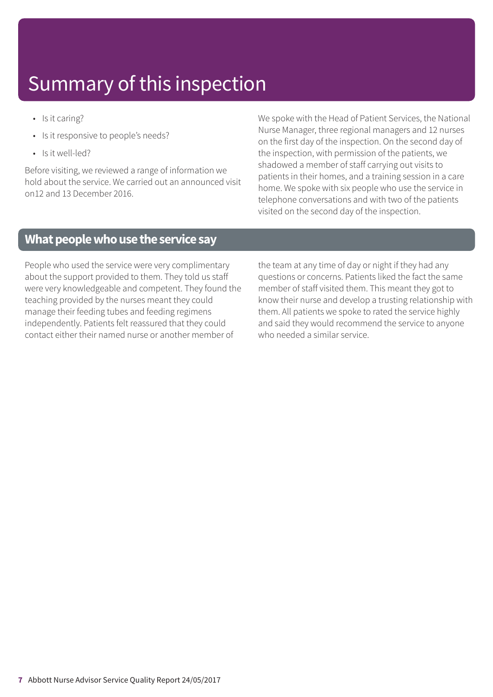- Is it caring?
- Is it responsive to people's needs?
- Is it well-led?

Before visiting, we reviewed a range of information we hold about the service. We carried out an announced visit on12 and 13 December 2016.

We spoke with the Head of Patient Services, the National Nurse Manager, three regional managers and 12 nurses on the first day of the inspection. On the second day of the inspection, with permission of the patients, we shadowed a member of staff carrying out visits to patients in their homes, and a training session in a care home. We spoke with six people who use the service in telephone conversations and with two of the patients visited on the second day of the inspection.

### **What people who use the service say**

People who used the service were very complimentary about the support provided to them. They told us staff were very knowledgeable and competent. They found the teaching provided by the nurses meant they could manage their feeding tubes and feeding regimens independently. Patients felt reassured that they could contact either their named nurse or another member of

the team at any time of day or night if they had any questions or concerns. Patients liked the fact the same member of staff visited them. This meant they got to know their nurse and develop a trusting relationship with them. All patients we spoke to rated the service highly and said they would recommend the service to anyone who needed a similar service.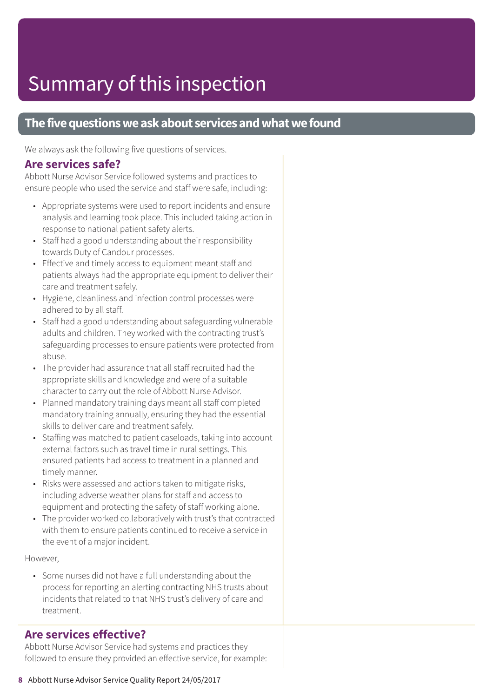### **The five questions we ask about services and what we found**

We always ask the following five questions of services.

### **Are services safe?**

Abbott Nurse Advisor Service followed systems and practices to ensure people who used the service and staff were safe, including:

- Appropriate systems were used to report incidents and ensure analysis and learning took place. This included taking action in response to national patient safety alerts.
- Staff had a good understanding about their responsibility towards Duty of Candour processes.
- Effective and timely access to equipment meant staff and patients always had the appropriate equipment to deliver their care and treatment safely.
- Hygiene, cleanliness and infection control processes were adhered to by all staff.
- Staff had a good understanding about safeguarding vulnerable adults and children. They worked with the contracting trust's safeguarding processes to ensure patients were protected from abuse.
- The provider had assurance that all staff recruited had the appropriate skills and knowledge and were of a suitable character to carry out the role of Abbott Nurse Advisor.
- Planned mandatory training days meant all staff completed mandatory training annually, ensuring they had the essential skills to deliver care and treatment safely.
- Staffing was matched to patient caseloads, taking into account external factors such as travel time in rural settings. This ensured patients had access to treatment in a planned and timely manner.
- Risks were assessed and actions taken to mitigate risks, including adverse weather plans for staff and access to equipment and protecting the safety of staff working alone.
- The provider worked collaboratively with trust's that contracted with them to ensure patients continued to receive a service in the event of a major incident.

#### However,

• Some nurses did not have a full understanding about the process for reporting an alerting contracting NHS trusts about incidents that related to that NHS trust's delivery of care and treatment.

### **Are services effective?**

Abbott Nurse Advisor Service had systems and practices they followed to ensure they provided an effective service, for example: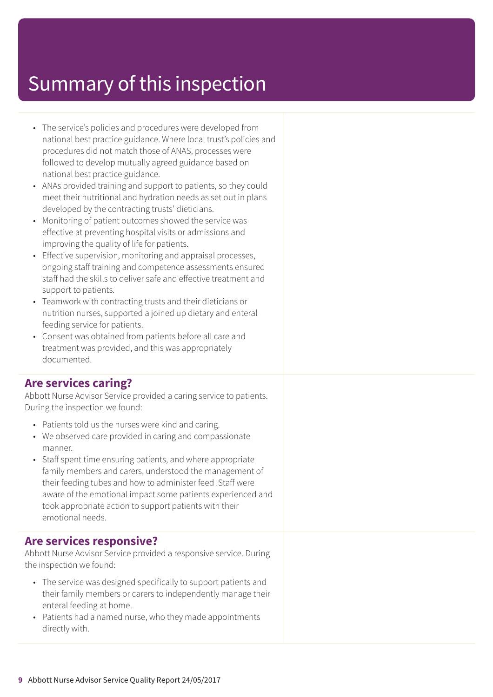- The service's policies and procedures were developed from national best practice guidance. Where local trust's policies and procedures did not match those of ANAS, processes were followed to develop mutually agreed guidance based on national best practice guidance.
- ANAs provided training and support to patients, so they could meet their nutritional and hydration needs as set out in plans developed by the contracting trusts' dieticians.
- Monitoring of patient outcomes showed the service was effective at preventing hospital visits or admissions and improving the quality of life for patients.
- Effective supervision, monitoring and appraisal processes, ongoing staff training and competence assessments ensured staff had the skills to deliver safe and effective treatment and support to patients.
- Teamwork with contracting trusts and their dieticians or nutrition nurses, supported a joined up dietary and enteral feeding service for patients.
- Consent was obtained from patients before all care and treatment was provided, and this was appropriately documented.

### **Are services caring?**

Abbott Nurse Advisor Service provided a caring service to patients. During the inspection we found:

- Patients told us the nurses were kind and caring.
- We observed care provided in caring and compassionate manner.
- Staff spent time ensuring patients, and where appropriate family members and carers, understood the management of their feeding tubes and how to administer feed .Staff were aware of the emotional impact some patients experienced and took appropriate action to support patients with their emotional needs.

### **Are services responsive?**

Abbott Nurse Advisor Service provided a responsive service. During the inspection we found:

- The service was designed specifically to support patients and their family members or carers to independently manage their enteral feeding at home.
- Patients had a named nurse, who they made appointments directly with.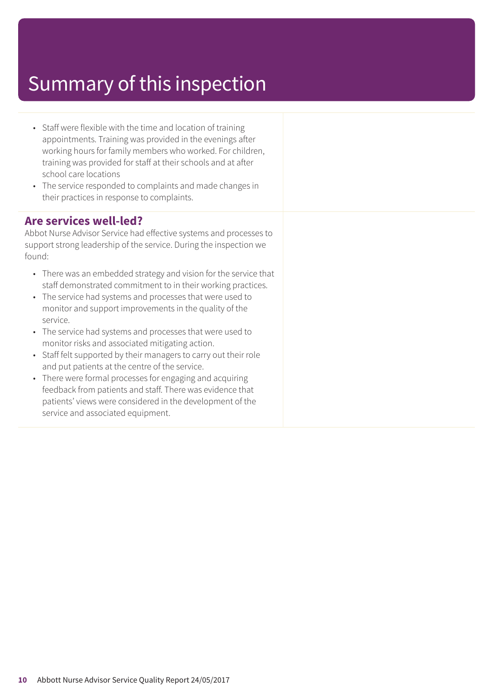- Staff were flexible with the time and location of training appointments. Training was provided in the evenings after working hours for family members who worked. For children, training was provided for staff at their schools and at after school care locations
- The service responded to complaints and made changes in their practices in response to complaints.

### **Are services well-led?**

Abbot Nurse Advisor Service had effective systems and processes to support strong leadership of the service. During the inspection we found:

- There was an embedded strategy and vision for the service that staff demonstrated commitment to in their working practices.
- The service had systems and processes that were used to monitor and support improvements in the quality of the service.
- The service had systems and processes that were used to monitor risks and associated mitigating action.
- Staff felt supported by their managers to carry out their role and put patients at the centre of the service.
- There were formal processes for engaging and acquiring feedback from patients and staff. There was evidence that patients' views were considered in the development of the service and associated equipment.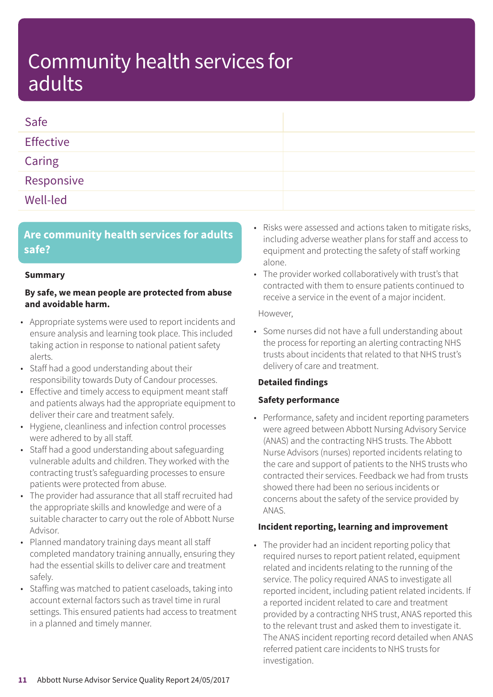| Safe             |  |
|------------------|--|
| <b>Effective</b> |  |
| Caring           |  |
| Responsive       |  |
| Well-led         |  |

### **Are community health services for adults safe?**

#### **Summary**

#### **By safe, we mean people are protected from abuse and avoidable harm.**

- Appropriate systems were used to report incidents and ensure analysis and learning took place. This included taking action in response to national patient safety alerts.
- Staff had a good understanding about their responsibility towards Duty of Candour processes.
- Effective and timely access to equipment meant staff and patients always had the appropriate equipment to deliver their care and treatment safely.
- Hygiene, cleanliness and infection control processes were adhered to by all staff.
- Staff had a good understanding about safeguarding vulnerable adults and children. They worked with the contracting trust's safeguarding processes to ensure patients were protected from abuse.
- The provider had assurance that all staff recruited had the appropriate skills and knowledge and were of a suitable character to carry out the role of Abbott Nurse Advisor.
- Planned mandatory training days meant all staff completed mandatory training annually, ensuring they had the essential skills to deliver care and treatment safely.
- Staffing was matched to patient caseloads, taking into account external factors such as travel time in rural settings. This ensured patients had access to treatment in a planned and timely manner.
- Risks were assessed and actions taken to mitigate risks, including adverse weather plans for staff and access to equipment and protecting the safety of staff working alone.
- The provider worked collaboratively with trust's that contracted with them to ensure patients continued to receive a service in the event of a major incident.

However,

• Some nurses did not have a full understanding about the process for reporting an alerting contracting NHS trusts about incidents that related to that NHS trust's delivery of care and treatment.

### **Detailed findings**

### **Safety performance**

• Performance, safety and incident reporting parameters were agreed between Abbott Nursing Advisory Service (ANAS) and the contracting NHS trusts. The Abbott Nurse Advisors (nurses) reported incidents relating to the care and support of patients to the NHS trusts who contracted their services. Feedback we had from trusts showed there had been no serious incidents or concerns about the safety of the service provided by ANAS.

#### **Incident reporting, learning and improvement**

• The provider had an incident reporting policy that required nurses to report patient related, equipment related and incidents relating to the running of the service. The policy required ANAS to investigate all reported incident, including patient related incidents. If a reported incident related to care and treatment provided by a contracting NHS trust, ANAS reported this to the relevant trust and asked them to investigate it. The ANAS incident reporting record detailed when ANAS referred patient care incidents to NHS trusts for investigation.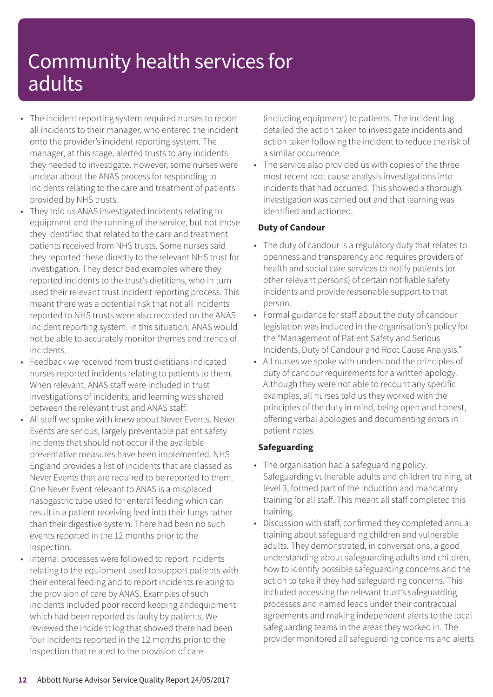- The incident reporting system required nurses to report all incidents to their manager, who entered the incident onto the provider's incident reporting system. The manager, at this stage, alerted trusts to any incidents they needed to investigate. However, some nurses were unclear about the ANAS process for responding to incidents relating to the care and treatment of patients provided by NHS trusts.
- They told us ANAS investigated incidents relating to equipment and the running of the service, but not those they identified that related to the care and treatment patients received from NHS trusts. Some nurses said they reported these directly to the relevant NHS trust for investigation. They described examples where they reported incidents to the trust's dietitians, who in turn used their relevant trust incident reporting process. This meant there was a potential risk that not all incidents reported to NHS trusts were also recorded on the ANAS incident reporting system. In this situation, ANAS would not be able to accurately monitor themes and trends of incidents.
- Feedback we received from trust dietitians indicated nurses reported incidents relating to patients to them. When relevant, ANAS staff were included in trust investigations of incidents, and learning was shared between the relevant trust and ANAS staff.
- All staff we spoke with knew about Never Events. Never Events are serious, largely preventable patient safety incidents that should not occur if the available preventative measures have been implemented. NHS England provides a list of incidents that are classed as Never Events that are required to be reported to them. One Never Event relevant to ANAS is a misplaced nasogastric tube used for enteral feeding which can result in a patient receiving feed into their lungs rather than their digestive system. There had been no such events reported in the 12 months prior to the inspection.
- Internal processes were followed to report incidents relating to the equipment used to support patients with their enteral feeding and to report incidents relating to the provision of care by ANAS. Examples of such incidents included poor record keeping andequipment which had been reported as faulty by patients. We reviewed the incident log that showed there had been four incidents reported in the 12 months prior to the inspection that related to the provision of care

(including equipment) to patients. The incident log detailed the action taken to investigate incidents and action taken following the incident to reduce the risk of a similar occurrence.

• The service also provided us with copies of the three most recent root cause analysis investigations into incidents that had occurred. This showed a thorough investigation was carried out and that learning was identified and actioned.

### **Duty of Candour**

- The duty of candour is a regulatory duty that relates to openness and transparency and requires providers of health and social care services to notify patients (or other relevant persons) of certain notifiable safety incidents and provide reasonable support to that person.
- Formal guidance for staff about the duty of candour legislation was included in the organisation's policy for the "Management of Patient Safety and Serious Incidents, Duty of Candour and Root Cause Analysis."
- All nurses we spoke with understood the principles of duty of candour requirements for a written apology. Although they were not able to recount any specific examples, all nurses told us they worked with the principles of the duty in mind, being open and honest, offering verbal apologies and documenting errors in patient notes.

### **Safeguarding**

- The organisation had a safeguarding policy. Safeguarding vulnerable adults and children training, at level 3, formed part of the induction and mandatory training for all staff. This meant all staff completed this training.
- Discussion with staff, confirmed they completed annual training about safeguarding children and vulnerable adults. They demonstrated, in conversations, a good understanding about safeguarding adults and children, how to identify possible safeguarding concerns and the action to take if they had safeguarding concerns. This included accessing the relevant trust's safeguarding processes and named leads under their contractual agreements and making independent alerts to the local safeguarding teams in the areas they worked in. The provider monitored all safeguarding concerns and alerts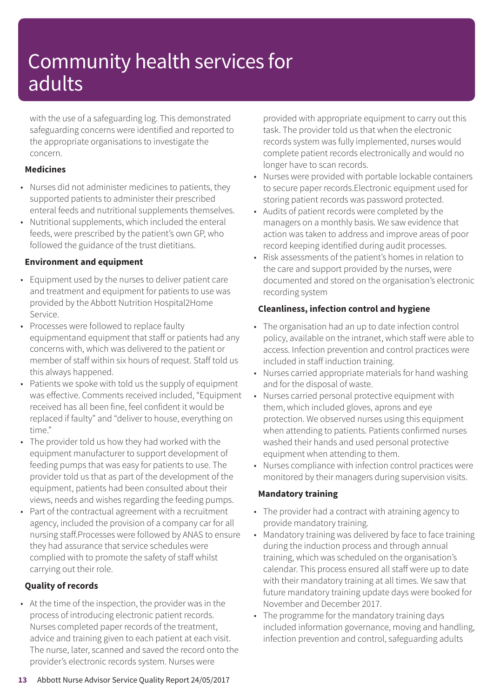with the use of a safeguarding log. This demonstrated safeguarding concerns were identified and reported to the appropriate organisations to investigate the concern.

### **Medicines**

- Nurses did not administer medicines to patients, they supported patients to administer their prescribed enteral feeds and nutritional supplements themselves.
- Nutritional supplements, which included the enteral feeds, were prescribed by the patient's own GP, who followed the guidance of the trust dietitians.

### **Environment and equipment**

- Equipment used by the nurses to deliver patient care and treatment and equipment for patients to use was provided by the Abbott Nutrition Hospital2Home Service.
- Processes were followed to replace faulty equipmentand equipment that staff or patients had any concerns with, which was delivered to the patient or member of staff within six hours of request. Staff told us this always happened.
- Patients we spoke with told us the supply of equipment was effective. Comments received included, "Equipment received has all been fine, feel confident it would be replaced if faulty" and "deliver to house, everything on time."
- The provider told us how they had worked with the equipment manufacturer to support development of feeding pumps that was easy for patients to use. The provider told us that as part of the development of the equipment, patients had been consulted about their views, needs and wishes regarding the feeding pumps.
- Part of the contractual agreement with a recruitment agency, included the provision of a company car for all nursing staff.Processes were followed by ANAS to ensure they had assurance that service schedules were complied with to promote the safety of staff whilst carrying out their role.

### **Quality of records**

• At the time of the inspection, the provider was in the process of introducing electronic patient records. Nurses completed paper records of the treatment, advice and training given to each patient at each visit. The nurse, later, scanned and saved the record onto the provider's electronic records system. Nurses were

provided with appropriate equipment to carry out this task. The provider told us that when the electronic records system was fully implemented, nurses would complete patient records electronically and would no longer have to scan records.

- Nurses were provided with portable lockable containers to secure paper records.Electronic equipment used for storing patient records was password protected.
- Audits of patient records were completed by the managers on a monthly basis. We saw evidence that action was taken to address and improve areas of poor record keeping identified during audit processes.
- Risk assessments of the patient's homes in relation to the care and support provided by the nurses, were documented and stored on the organisation's electronic recording system

### **Cleanliness, infection control and hygiene**

- The organisation had an up to date infection control policy, available on the intranet, which staff were able to access. Infection prevention and control practices were included in staff induction training.
- Nurses carried appropriate materials for hand washing and for the disposal of waste.
- Nurses carried personal protective equipment with them, which included gloves, aprons and eye protection. We observed nurses using this equipment when attending to patients. Patients confirmed nurses washed their hands and used personal protective equipment when attending to them.
- Nurses compliance with infection control practices were monitored by their managers during supervision visits.

### **Mandatory training**

- The provider had a contract with atraining agency to provide mandatory training.
- Mandatory training was delivered by face to face training during the induction process and through annual training, which was scheduled on the organisation's calendar. This process ensured all staff were up to date with their mandatory training at all times. We saw that future mandatory training update days were booked for November and December 2017.
- The programme for the mandatory training days included information governance, moving and handling, infection prevention and control, safeguarding adults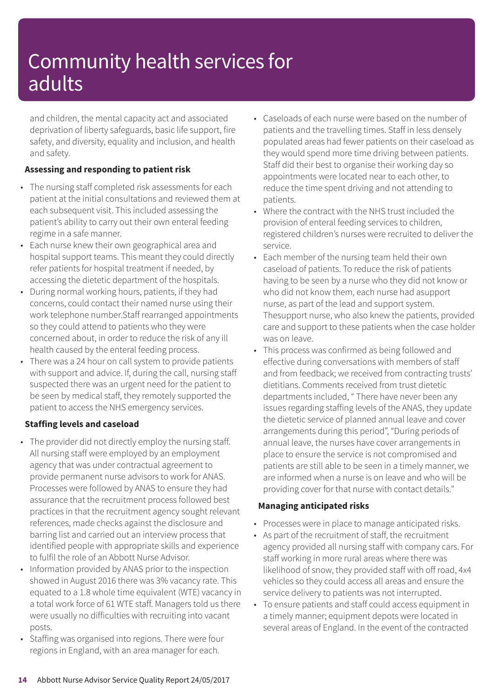and children, the mental capacity act and associated deprivation of liberty safeguards, basic life support, fire safety, and diversity, equality and inclusion, and health and safety.

### **Assessing and responding to patient risk**

- The nursing staff completed risk assessments for each patient at the initial consultations and reviewed them at each subsequent visit. This included assessing the patient's ability to carry out their own enteral feeding regime in a safe manner.
- Each nurse knew their own geographical area and hospital support teams. This meant they could directly refer patients for hospital treatment if needed, by accessing the dietetic department of the hospitals.
- During normal working hours, patients, if they had concerns, could contact their named nurse using their work telephone number.Staff rearranged appointments so they could attend to patients who they were concerned about, in order to reduce the risk of any ill health caused by the enteral feeding process.
- There was a 24 hour on call system to provide patients with support and advice. If, during the call, nursing staff suspected there was an urgent need for the patient to be seen by medical staff, they remotely supported the patient to access the NHS emergency services.

### **Staffing levels and caseload**

- The provider did not directly employ the nursing staff. All nursing staff were employed by an employment agency that was under contractual agreement to provide permanent nurse advisors to work for ANAS. Processes were followed by ANAS to ensure they had assurance that the recruitment process followed best practices in that the recruitment agency sought relevant references, made checks against the disclosure and barring list and carried out an interview process that identified people with appropriate skills and experience to fulfil the role of an Abbott Nurse Advisor.
- Information provided by ANAS prior to the inspection showed in August 2016 there was 3% vacancy rate. This equated to a 1.8 whole time equivalent (WTE) vacancy in a total work force of 61 WTE staff. Managers told us there were usually no difficulties with recruiting into vacant posts.
- Staffing was organised into regions. There were four regions in England, with an area manager for each.
- Caseloads of each nurse were based on the number of patients and the travelling times. Staff in less densely populated areas had fewer patients on their caseload as they would spend more time driving between patients. Staff did their best to organise their working day so appointments were located near to each other, to reduce the time spent driving and not attending to patients.
- Where the contract with the NHS trust included the provision of enteral feeding services to children, registered children's nurses were recruited to deliver the service.
- Each member of the nursing team held their own caseload of patients. To reduce the risk of patients having to be seen by a nurse who they did not know or who did not know them, each nurse had asupport nurse, as part of the lead and support system. Thesupport nurse, who also knew the patients, provided care and support to these patients when the case holder was on leave.
- This process was confirmed as being followed and effective during conversations with members of staff and from feedback; we received from contracting trusts' dietitians. Comments received from trust dietetic departments included, " There have never been any issues regarding staffing levels of the ANAS, they update the dietetic service of planned annual leave and cover arrangements during this period", "During periods of annual leave, the nurses have cover arrangements in place to ensure the service is not compromised and patients are still able to be seen in a timely manner, we are informed when a nurse is on leave and who will be providing cover for that nurse with contact details."

### **Managing anticipated risks**

- Processes were in place to manage anticipated risks.
- As part of the recruitment of staff, the recruitment agency provided all nursing staff with company cars. For staff working in more rural areas where there was likelihood of snow, they provided staff with off road, 4x4 vehicles so they could access all areas and ensure the service delivery to patients was not interrupted.
- To ensure patients and staff could access equipment in a timely manner; equipment depots were located in several areas of England. In the event of the contracted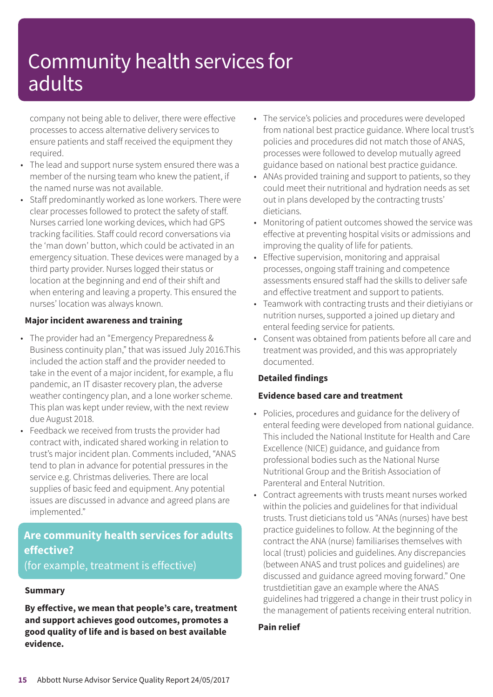company not being able to deliver, there were effective processes to access alternative delivery services to ensure patients and staff received the equipment they required.

- The lead and support nurse system ensured there was a member of the nursing team who knew the patient, if the named nurse was not available.
- Staff predominantly worked as lone workers. There were clear processes followed to protect the safety of staff. Nurses carried lone working devices, which had GPS tracking facilities. Staff could record conversations via the 'man down' button, which could be activated in an emergency situation. These devices were managed by a third party provider. Nurses logged their status or location at the beginning and end of their shift and when entering and leaving a property. This ensured the nurses' location was always known.

### **Major incident awareness and training**

- The provider had an "Emergency Preparedness & Business continuity plan," that was issued July 2016.This included the action staff and the provider needed to take in the event of a major incident, for example, a flu pandemic, an IT disaster recovery plan, the adverse weather contingency plan, and a lone worker scheme. This plan was kept under review, with the next review due August 2018.
- Feedback we received from trusts the provider had contract with, indicated shared working in relation to trust's major incident plan. Comments included, "ANAS tend to plan in advance for potential pressures in the service e.g. Christmas deliveries. There are local supplies of basic feed and equipment. Any potential issues are discussed in advance and agreed plans are implemented."

### **Are community health services for adults effective?** (for example, treatment is effective)

#### **Summary**

**By effective, we mean that people's care, treatment and support achieves good outcomes, promotes a good quality of life and is based on best available evidence.**

- The service's policies and procedures were developed from national best practice guidance. Where local trust's policies and procedures did not match those of ANAS, processes were followed to develop mutually agreed guidance based on national best practice guidance.
- ANAs provided training and support to patients, so they could meet their nutritional and hydration needs as set out in plans developed by the contracting trusts' dieticians.
- Monitoring of patient outcomes showed the service was effective at preventing hospital visits or admissions and improving the quality of life for patients.
- Effective supervision, monitoring and appraisal processes, ongoing staff training and competence assessments ensured staff had the skills to deliver safe and effective treatment and support to patients.
- Teamwork with contracting trusts and their dietiyians or nutrition nurses, supported a joined up dietary and enteral feeding service for patients.
- Consent was obtained from patients before all care and treatment was provided, and this was appropriately documented.

### **Detailed findings**

### **Evidence based care and treatment**

- Policies, procedures and guidance for the delivery of enteral feeding were developed from national guidance. This included the National Institute for Health and Care Excellence (NICE) guidance, and guidance from professional bodies such as the National Nurse Nutritional Group and the British Association of Parenteral and Enteral Nutrition.
- Contract agreements with trusts meant nurses worked within the policies and guidelines for that individual trusts. Trust dieticians told us "ANAs (nurses) have best practice guidelines to follow. At the beginning of the contract the ANA (nurse) familiarises themselves with local (trust) policies and guidelines. Any discrepancies (between ANAS and trust polices and guidelines) are discussed and guidance agreed moving forward." One trustdietitian gave an example where the ANAS guidelines had triggered a change in their trust policy in the management of patients receiving enteral nutrition.

### **Pain relief**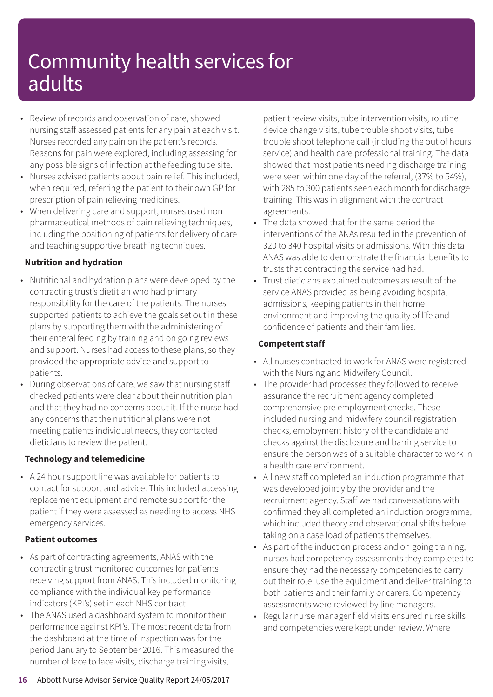- Review of records and observation of care, showed nursing staff assessed patients for any pain at each visit. Nurses recorded any pain on the patient's records. Reasons for pain were explored, including assessing for any possible signs of infection at the feeding tube site.
- Nurses advised patients about pain relief. This included, when required, referring the patient to their own GP for prescription of pain relieving medicines.
- When delivering care and support, nurses used non pharmaceutical methods of pain relieving techniques, including the positioning of patients for delivery of care and teaching supportive breathing techniques.

### **Nutrition and hydration**

- Nutritional and hydration plans were developed by the contracting trust's dietitian who had primary responsibility for the care of the patients. The nurses supported patients to achieve the goals set out in these plans by supporting them with the administering of their enteral feeding by training and on going reviews and support. Nurses had access to these plans, so they provided the appropriate advice and support to patients.
- During observations of care, we saw that nursing staff checked patients were clear about their nutrition plan and that they had no concerns about it. If the nurse had any concerns that the nutritional plans were not meeting patients individual needs, they contacted dieticians to review the patient.

### **Technology and telemedicine**

• A 24 hour support line was available for patients to contact for support and advice. This included accessing replacement equipment and remote support for the patient if they were assessed as needing to access NHS emergency services.

### **Patient outcomes**

- As part of contracting agreements, ANAS with the contracting trust monitored outcomes for patients receiving support from ANAS. This included monitoring compliance with the individual key performance indicators (KPI's) set in each NHS contract.
- The ANAS used a dashboard system to monitor their performance against KPI's. The most recent data from the dashboard at the time of inspection was for the period January to September 2016. This measured the number of face to face visits, discharge training visits,

patient review visits, tube intervention visits, routine device change visits, tube trouble shoot visits, tube trouble shoot telephone call (including the out of hours service) and health care professional training. The data showed that most patients needing discharge training were seen within one day of the referral, (37% to 54%), with 285 to 300 patients seen each month for discharge training. This was in alignment with the contract agreements.

- The data showed that for the same period the interventions of the ANAs resulted in the prevention of 320 to 340 hospital visits or admissions. With this data ANAS was able to demonstrate the financial benefits to trusts that contracting the service had had.
- Trust dieticians explained outcomes as result of the service ANAS provided as being avoiding hospital admissions, keeping patients in their home environment and improving the quality of life and confidence of patients and their families.

### **Competent staff**

- All nurses contracted to work for ANAS were registered with the Nursing and Midwifery Council.
- The provider had processes they followed to receive assurance the recruitment agency completed comprehensive pre employment checks. These included nursing and midwifery council registration checks, employment history of the candidate and checks against the disclosure and barring service to ensure the person was of a suitable character to work in a health care environment.
- All new staff completed an induction programme that was developed jointly by the provider and the recruitment agency. Staff we had conversations with confirmed they all completed an induction programme, which included theory and observational shifts before taking on a case load of patients themselves.
- As part of the induction process and on going training, nurses had competency assessments they completed to ensure they had the necessary competencies to carry out their role, use the equipment and deliver training to both patients and their family or carers. Competency assessments were reviewed by line managers.
- Regular nurse manager field visits ensured nurse skills and competencies were kept under review. Where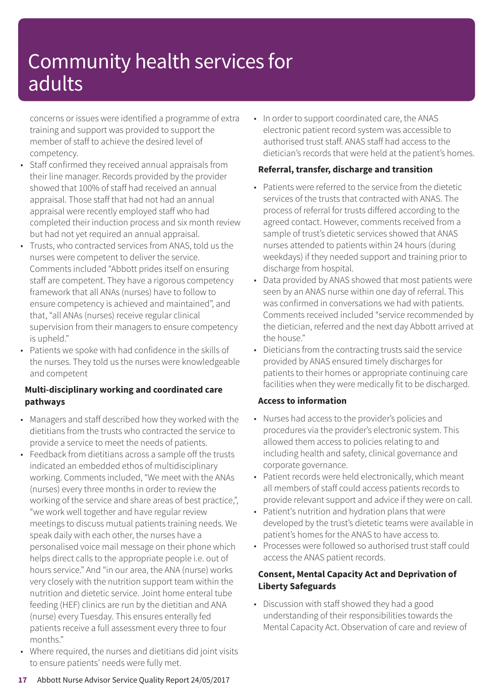concerns or issues were identified a programme of extra training and support was provided to support the member of staff to achieve the desired level of competency.

- Staff confirmed they received annual appraisals from their line manager. Records provided by the provider showed that 100% of staff had received an annual appraisal. Those staff that had not had an annual appraisal were recently employed staff who had completed their induction process and six month review but had not yet required an annual appraisal.
- Trusts, who contracted services from ANAS, told us the nurses were competent to deliver the service. Comments included "Abbott prides itself on ensuring staff are competent. They have a rigorous competency framework that all ANAs (nurses) have to follow to ensure competency is achieved and maintained", and that, "all ANAs (nurses) receive regular clinical supervision from their managers to ensure competency is upheld."
- Patients we spoke with had confidence in the skills of the nurses. They told us the nurses were knowledgeable and competent

### **Multi-disciplinary working and coordinated care pathways**

- Managers and staff described how they worked with the dietitians from the trusts who contracted the service to provide a service to meet the needs of patients.
- Feedback from dietitians across a sample off the trusts indicated an embedded ethos of multidisciplinary working. Comments included, "We meet with the ANAs (nurses) every three months in order to review the working of the service and share areas of best practice,", "we work well together and have regular review meetings to discuss mutual patients training needs. We speak daily with each other, the nurses have a personalised voice mail message on their phone which helps direct calls to the appropriate people i.e. out of hours service." And "in our area, the ANA (nurse) works very closely with the nutrition support team within the nutrition and dietetic service. Joint home enteral tube feeding (HEF) clinics are run by the dietitian and ANA (nurse) every Tuesday. This ensures enterally fed patients receive a full assessment every three to four months."
- Where required, the nurses and dietitians did joint visits to ensure patients' needs were fully met.

• In order to support coordinated care, the ANAS electronic patient record system was accessible to authorised trust staff. ANAS staff had access to the dietician's records that were held at the patient's homes.

### **Referral, transfer, discharge and transition**

- Patients were referred to the service from the dietetic services of the trusts that contracted with ANAS. The process of referral for trusts differed according to the agreed contact. However, comments received from a sample of trust's dietetic services showed that ANAS nurses attended to patients within 24 hours (during weekdays) if they needed support and training prior to discharge from hospital.
- Data provided by ANAS showed that most patients were seen by an ANAS nurse within one day of referral. This was confirmed in conversations we had with patients. Comments received included "service recommended by the dietician, referred and the next day Abbott arrived at the house."
- Dieticians from the contracting trusts said the service provided by ANAS ensured timely discharges for patients to their homes or appropriate continuing care facilities when they were medically fit to be discharged.

### **Access to information**

- Nurses had access to the provider's policies and procedures via the provider's electronic system. This allowed them access to policies relating to and including health and safety, clinical governance and corporate governance.
- Patient records were held electronically, which meant all members of staff could access patients records to provide relevant support and advice if they were on call.
- Patient's nutrition and hydration plans that were developed by the trust's dietetic teams were available in patient's homes for the ANAS to have access to.
- Processes were followed so authorised trust staff could access the ANAS patient records.

### **Consent, Mental Capacity Act and Deprivation of Liberty Safeguards**

• Discussion with staff showed they had a good understanding of their responsibilities towards the Mental Capacity Act. Observation of care and review of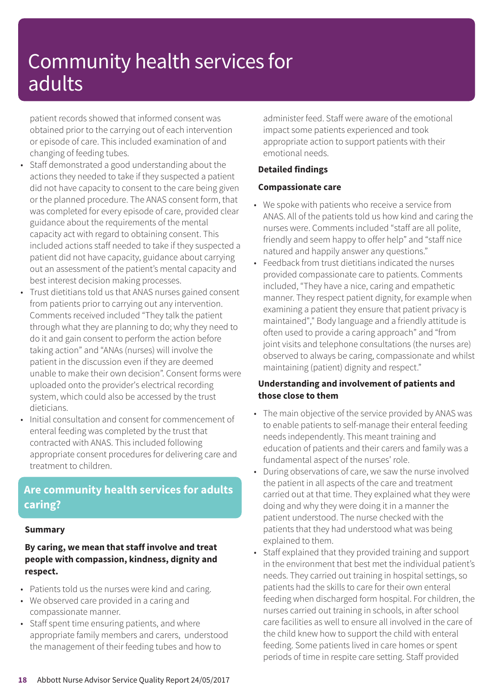patient records showed that informed consent was obtained prior to the carrying out of each intervention or episode of care. This included examination of and changing of feeding tubes.

- Staff demonstrated a good understanding about the actions they needed to take if they suspected a patient did not have capacity to consent to the care being given or the planned procedure. The ANAS consent form, that was completed for every episode of care, provided clear guidance about the requirements of the mental capacity act with regard to obtaining consent. This included actions staff needed to take if they suspected a patient did not have capacity, guidance about carrying out an assessment of the patient's mental capacity and best interest decision making processes.
- Trust dietitians told us that ANAS nurses gained consent from patients prior to carrying out any intervention. Comments received included "They talk the patient through what they are planning to do; why they need to do it and gain consent to perform the action before taking action" and "ANAs (nurses) will involve the patient in the discussion even if they are deemed unable to make their own decision". Consent forms were uploaded onto the provider's electrical recording system, which could also be accessed by the trust dieticians.
- Initial consultation and consent for commencement of enteral feeding was completed by the trust that contracted with ANAS. This included following appropriate consent procedures for delivering care and treatment to children.

### **Are community health services for adults caring?**

#### **Summary**

### **By caring, we mean that staff involve and treat people with compassion, kindness, dignity and respect.**

- Patients told us the nurses were kind and caring.
- We observed care provided in a caring and compassionate manner.
- Staff spent time ensuring patients, and where appropriate family members and carers, understood the management of their feeding tubes and how to

administer feed. Staff were aware of the emotional impact some patients experienced and took appropriate action to support patients with their emotional needs.

### **Detailed findings**

#### **Compassionate care**

- We spoke with patients who receive a service from ANAS. All of the patients told us how kind and caring the nurses were. Comments included "staff are all polite, friendly and seem happy to offer help" and "staff nice natured and happily answer any questions."
- Feedback from trust dietitians indicated the nurses provided compassionate care to patients. Comments included, "They have a nice, caring and empathetic manner. They respect patient dignity, for example when examining a patient they ensure that patient privacy is maintained"," Body language and a friendly attitude is often used to provide a caring approach" and "from joint visits and telephone consultations (the nurses are) observed to always be caring, compassionate and whilst maintaining (patient) dignity and respect."

### **Understanding and involvement of patients and those close to them**

- The main objective of the service provided by ANAS was to enable patients to self-manage their enteral feeding needs independently. This meant training and education of patients and their carers and family was a fundamental aspect of the nurses' role.
- During observations of care, we saw the nurse involved the patient in all aspects of the care and treatment carried out at that time. They explained what they were doing and why they were doing it in a manner the patient understood. The nurse checked with the patients that they had understood what was being explained to them.
- Staff explained that they provided training and support in the environment that best met the individual patient's needs. They carried out training in hospital settings, so patients had the skills to care for their own enteral feeding when discharged form hospital. For children, the nurses carried out training in schools, in after school care facilities as well to ensure all involved in the care of the child knew how to support the child with enteral feeding. Some patients lived in care homes or spent periods of time in respite care setting. Staff provided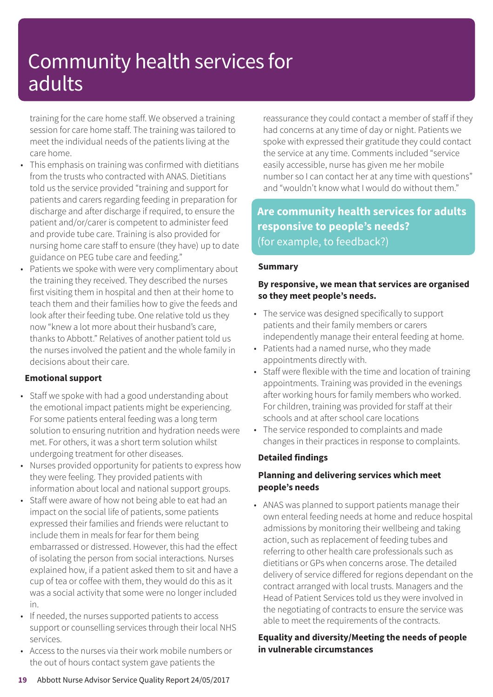training for the care home staff. We observed a training session for care home staff. The training was tailored to meet the individual needs of the patients living at the care home.

- This emphasis on training was confirmed with dietitians from the trusts who contracted with ANAS. Dietitians told us the service provided "training and support for patients and carers regarding feeding in preparation for discharge and after discharge if required, to ensure the patient and/or/carer is competent to administer feed and provide tube care. Training is also provided for nursing home care staff to ensure (they have) up to date guidance on PEG tube care and feeding."
- Patients we spoke with were very complimentary about the training they received. They described the nurses first visiting them in hospital and then at their home to teach them and their families how to give the feeds and look after their feeding tube. One relative told us they now "knew a lot more about their husband's care, thanks to Abbott." Relatives of another patient told us the nurses involved the patient and the whole family in decisions about their care.

### **Emotional support**

- Staff we spoke with had a good understanding about the emotional impact patients might be experiencing. For some patients enteral feeding was a long term solution to ensuring nutrition and hydration needs were met. For others, it was a short term solution whilst undergoing treatment for other diseases.
- Nurses provided opportunity for patients to express how they were feeling. They provided patients with information about local and national support groups.
- Staff were aware of how not being able to eat had an impact on the social life of patients, some patients expressed their families and friends were reluctant to include them in meals for fear for them being embarrassed or distressed. However, this had the effect of isolating the person from social interactions. Nurses explained how, if a patient asked them to sit and have a cup of tea or coffee with them, they would do this as it was a social activity that some were no longer included in.
- If needed, the nurses supported patients to access support or counselling services through their local NHS services.
- Access to the nurses via their work mobile numbers or the out of hours contact system gave patients the

reassurance they could contact a member of staff if they had concerns at any time of day or night. Patients we spoke with expressed their gratitude they could contact the service at any time. Comments included "service easily accessible, nurse has given me her mobile number so I can contact her at any time with questions" and "wouldn't know what I would do without them."

**Are community health services for adults responsive to people's needs?** (for example, to feedback?)

### **Summary**

### **By responsive, we mean that services are organised so they meet people's needs.**

- The service was designed specifically to support patients and their family members or carers independently manage their enteral feeding at home.
- Patients had a named nurse, who they made appointments directly with.
- Staff were flexible with the time and location of training appointments. Training was provided in the evenings after working hours for family members who worked. For children, training was provided for staff at their schools and at after school care locations
- The service responded to complaints and made changes in their practices in response to complaints.

### **Detailed findings**

### **Planning and delivering services which meet people's needs**

• ANAS was planned to support patients manage their own enteral feeding needs at home and reduce hospital admissions by monitoring their wellbeing and taking action, such as replacement of feeding tubes and referring to other health care professionals such as dietitians or GPs when concerns arose. The detailed delivery of service differed for regions dependant on the contract arranged with local trusts. Managers and the Head of Patient Services told us they were involved in the negotiating of contracts to ensure the service was able to meet the requirements of the contracts.

### **Equality and diversity/Meeting the needs of people in vulnerable circumstances**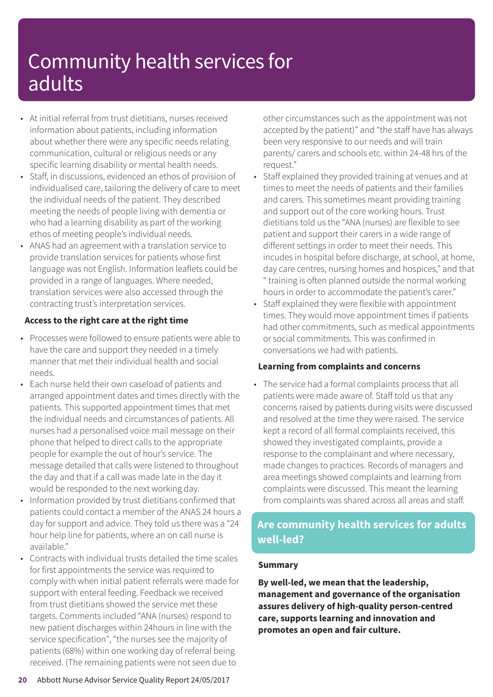- At initial referral from trust dietitians, nurses received information about patients, including information about whether there were any specific needs relating communication, cultural or religious needs or any specific learning disability or mental health needs.
- Staff, in discussions, evidenced an ethos of provision of individualised care, tailoring the delivery of care to meet the individual needs of the patient. They described meeting the needs of people living with dementia or who had a learning disability as part of the working ethos of meeting people's individual needs.
- ANAS had an agreement with a translation service to provide translation services for patients whose first language was not English. Information leaflets could be provided in a range of languages. Where needed, translation services were also accessed through the contracting trust's interpretation services.

### **Access to the right care at the right time**

- Processes were followed to ensure patients were able to have the care and support they needed in a timely manner that met their individual health and social needs.
- Each nurse held their own caseload of patients and arranged appointment dates and times directly with the patients. This supported appointment times that met the individual needs and circumstances of patients. All nurses had a personalised voice mail message on their phone that helped to direct calls to the appropriate people for example the out of hour's service. The message detailed that calls were listened to throughout the day and that if a call was made late in the day it would be responded to the next working day.
- Information provided by trust dietitians confirmed that patients could contact a member of the ANAS 24 hours a day for support and advice. They told us there was a "24 hour help line for patients, where an on call nurse is available."
- Contracts with individual trusts detailed the time scales for first appointments the service was required to comply with when initial patient referrals were made for support with enteral feeding. Feedback we received from trust dietitians showed the service met these targets. Comments included "ANA (nurses) respond to new patient discharges within 24hours in line with the service specification", "the nurses see the majority of patients (68%) within one working day of referral being received. (The remaining patients were not seen due to

other circumstances such as the appointment was not accepted by the patient)" and "the staff have has always been very responsive to our needs and will train parents/ carers and schools etc. within 24-48 hrs of the request."

- Staff explained they provided training at venues and at times to meet the needs of patients and their families and carers. This sometimes meant providing training and support out of the core working hours. Trust dietitians told us the "ANA (nurses) are flexible to see patient and support their carers in a wide range of different settings in order to meet their needs. This incudes in hospital before discharge, at school, at home, day care centres, nursing homes and hospices," and that " training is often planned outside the normal working hours in order to accommodate the patient's carer."
- Staff explained they were flexible with appointment times. They would move appointment times if patients had other commitments, such as medical appointments or social commitments. This was confirmed in conversations we had with patients.

### **Learning from complaints and concerns**

• The service had a formal complaints process that all patients were made aware of. Staff told us that any concerns raised by patients during visits were discussed and resolved at the time they were raised. The service kept a record of all formal complaints received, this showed they investigated complaints, provide a response to the complainant and where necessary, made changes to practices. Records of managers and area meetings showed complaints and learning from complaints were discussed. This meant the learning from complaints was shared across all areas and staff.

### **Are community health services for adults well-led?**

### **Summary**

**By well-led, we mean that the leadership, management and governance of the organisation assures delivery of high-quality person-centred care, supports learning and innovation and promotes an open and fair culture.**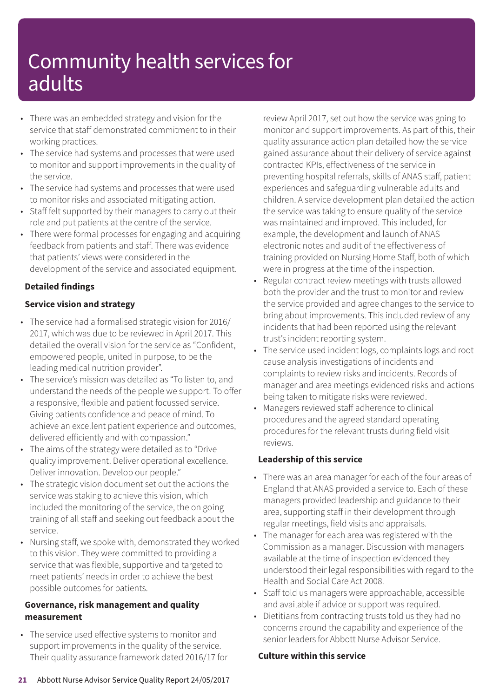- There was an embedded strategy and vision for the service that staff demonstrated commitment to in their working practices.
- The service had systems and processes that were used to monitor and support improvements in the quality of the service.
- The service had systems and processes that were used to monitor risks and associated mitigating action.
- Staff felt supported by their managers to carry out their role and put patients at the centre of the service.
- There were formal processes for engaging and acquiring feedback from patients and staff. There was evidence that patients' views were considered in the development of the service and associated equipment.

### **Detailed findings**

### **Service vision and strategy**

- The service had a formalised strategic vision for 2016/ 2017, which was due to be reviewed in April 2017. This detailed the overall vision for the service as "Confident, empowered people, united in purpose, to be the leading medical nutrition provider".
- The service's mission was detailed as "To listen to, and understand the needs of the people we support. To offer a responsive, flexible and patient focussed service. Giving patients confidence and peace of mind. To achieve an excellent patient experience and outcomes, delivered efficiently and with compassion."
- The aims of the strategy were detailed as to "Drive quality improvement. Deliver operational excellence. Deliver innovation. Develop our people."
- The strategic vision document set out the actions the service was staking to achieve this vision, which included the monitoring of the service, the on going training of all staff and seeking out feedback about the service.
- Nursing staff, we spoke with, demonstrated they worked to this vision. They were committed to providing a service that was flexible, supportive and targeted to meet patients' needs in order to achieve the best possible outcomes for patients.

### **Governance, risk management and quality measurement**

• The service used effective systems to monitor and support improvements in the quality of the service. Their quality assurance framework dated 2016/17 for review April 2017, set out how the service was going to monitor and support improvements. As part of this, their quality assurance action plan detailed how the service gained assurance about their delivery of service against contracted KPIs, effectiveness of the service in preventing hospital referrals, skills of ANAS staff, patient experiences and safeguarding vulnerable adults and children. A service development plan detailed the action the service was taking to ensure quality of the service was maintained and improved. This included, for example, the development and launch of ANAS electronic notes and audit of the effectiveness of training provided on Nursing Home Staff, both of which were in progress at the time of the inspection.

- Regular contract review meetings with trusts allowed both the provider and the trust to monitor and review the service provided and agree changes to the service to bring about improvements. This included review of any incidents that had been reported using the relevant trust's incident reporting system.
- The service used incident logs, complaints logs and root cause analysis investigations of incidents and complaints to review risks and incidents. Records of manager and area meetings evidenced risks and actions being taken to mitigate risks were reviewed.
- Managers reviewed staff adherence to clinical procedures and the agreed standard operating procedures for the relevant trusts during field visit reviews.

### **Leadership of this service**

- There was an area manager for each of the four areas of England that ANAS provided a service to. Each of these managers provided leadership and guidance to their area, supporting staff in their development through regular meetings, field visits and appraisals.
- The manager for each area was registered with the Commission as a manager. Discussion with managers available at the time of inspection evidenced they understood their legal responsibilities with regard to the Health and Social Care Act 2008.
- Staff told us managers were approachable, accessible and available if advice or support was required.
- Dietitians from contracting trusts told us they had no concerns around the capability and experience of the senior leaders for Abbott Nurse Advisor Service.

#### **Culture within this service**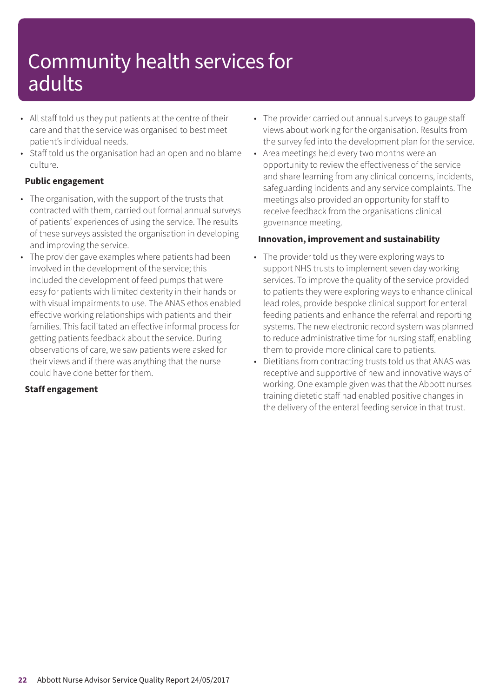- All staff told us they put patients at the centre of their care and that the service was organised to best meet patient's individual needs.
- Staff told us the organisation had an open and no blame culture.

### **Public engagement**

- The organisation, with the support of the trusts that contracted with them, carried out formal annual surveys of patients' experiences of using the service. The results of these surveys assisted the organisation in developing and improving the service.
- The provider gave examples where patients had been involved in the development of the service; this included the development of feed pumps that were easy for patients with limited dexterity in their hands or with visual impairments to use. The ANAS ethos enabled effective working relationships with patients and their families. This facilitated an effective informal process for getting patients feedback about the service. During observations of care, we saw patients were asked for their views and if there was anything that the nurse could have done better for them.

### **Staff engagement**

- The provider carried out annual surveys to gauge staff views about working for the organisation. Results from the survey fed into the development plan for the service.
- Area meetings held every two months were an opportunity to review the effectiveness of the service and share learning from any clinical concerns, incidents, safeguarding incidents and any service complaints. The meetings also provided an opportunity for staff to receive feedback from the organisations clinical governance meeting.

### **Innovation, improvement and sustainability**

- The provider told us they were exploring ways to support NHS trusts to implement seven day working services. To improve the quality of the service provided to patients they were exploring ways to enhance clinical lead roles, provide bespoke clinical support for enteral feeding patients and enhance the referral and reporting systems. The new electronic record system was planned to reduce administrative time for nursing staff, enabling them to provide more clinical care to patients.
- Dietitians from contracting trusts told us that ANAS was receptive and supportive of new and innovative ways of working. One example given was that the Abbott nurses training dietetic staff had enabled positive changes in the delivery of the enteral feeding service in that trust.